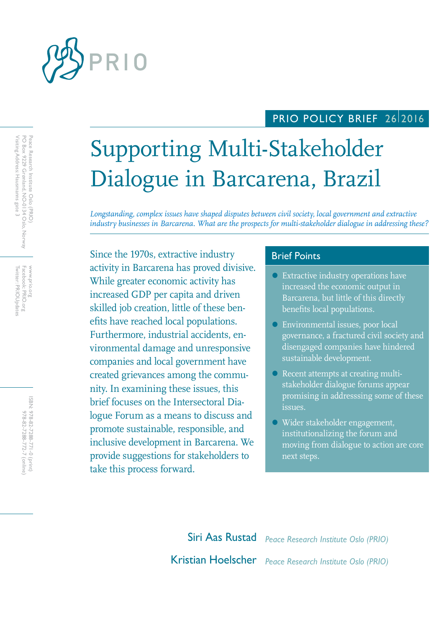

## PRIO POLICY BRIEF 2612016

# Supporting Multi-Stakeholder Dialogue in Barcarena, Brazil

*Longstanding, complex issues have shaped disputes between civil society, local government and extractive industry businesses in Barcarena. What are the prospects for multi-stakeholder dialogue in addressing these?*

Since the 1970s, extractive industry **Brief Points** activity in Barcarena has proved divisive. While greater economic activity has increased GDP per capita and driven skilled job creation, little of these benefits have reached local populations. Furthermore, industrial accidents, environmental damage and unresponsive companies and local government have created grievances among the community. In examining these issues, this brief focuses on the Intersectoral Dialogue Forum as a means to discuss and promote sustainable, responsible, and inclusive development in Barcarena. We provide suggestions for stakeholders to take this process forward.

- Extractive industry operations have increased the economic output in Barcarena, but little of this directly benefits local populations.
- Environmental issues, poor local governance, a fractured civil society and disengaged companies have hindered sustainable development.
- Recent attempts at creating multistakeholder dialogue forums appear promising in addresssing some of these issues.
- Wider stakeholder engagement, institutionalizing the forum and moving from dialogue to action are core next steps.

Siri Aas Rustad *Peace Research Institute Oslo (PRIO)* Kristian Hoelscher *Peace Research Institute Oslo (PRIO)*

Peace Research Institute Oslo (PRIO)<br>PO Box 9229 Grønland, NO-0134 Oslo, Norway<br>Visiting Address: Hausmanns gate 3 Visiting Address: Hausmanns gate 3 PO Box 9229 Grønland, NO-0134 Oslo, Norway Peace Research Institute Oslo (PRIO)

Facebook: PRIO.org<br>Twitter: PRIOUpdates Twitter: PRIOUpdates Facebook: PRIO.org WWW.prio.org www.prio.org

> ISBN: 978-82-7288-771-0 (print) 978-82-7288-772-7 (online 978-82-7288-772-7 (online) 978-82-7288-771-0 (print)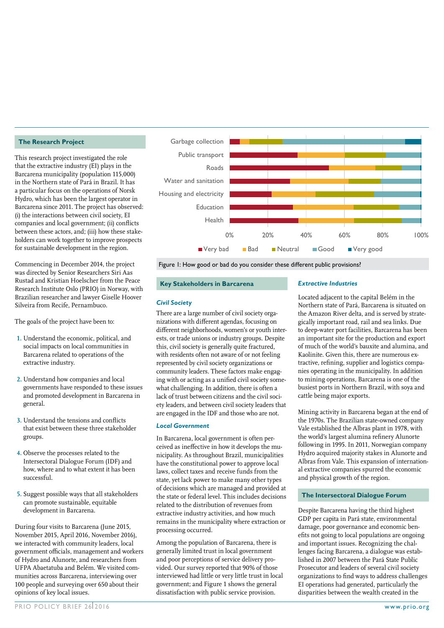#### **The Research Project**

This research project investigated the role that the extractive industry (EI) plays in the Barcarena municipality (population 115,000) in the Northern state of Pará in Brazil. It has a particular focus on the operations of Norsk Hydro, which has been the largest operator in Barcarena since 2011. The project has observed: (i) the interactions between civil society, EI companies and local government; (ii) conflicts between these actors, and; (iii) how these stakeholders can work together to improve prospects for sustainable development in the region.

Commencing in December 2014, the project was directed by Senior Researchers Siri Aas Rustad and Kristian Hoelscher from the Peace Research Institute Oslo (PRIO) in Norway, with Brazilian researcher and lawyer Giselle Hoover Silveira from Recife, Pernambuco.

The goals of the project have been to:

- **1.** Understand the economic, political, and social impacts on local communities in Barcarena related to operations of the extractive industry.
- **2.** Understand how companies and local governments have responded to these issues and promoted development in Barcarena in general.
- **3.** Understand the tensions and conflicts that exist between these three stakeholder groups.
- **4.** Observe the processes related to the Intersectoral Dialogue Forum (IDF) and how, where and to what extent it has been successful.
- **5.** Suggest possible ways that all stakeholders can promote sustainable, equitable development in Barcarena.

During four visits to Barcarena (June 2015, November 2015, April 2016, November 2016), we interacted with community leaders, local government officials, management and workers of Hydro and Alunorte, and researchers from UFPA Abaetatuba and Belém. We visited communities across Barcarena, interviewing over 100 people and surveying over 650 about their opinions of key local issues.



Figure 1: How good or bad do you consider these different public provisions?

#### **Key Stakeholders in Barcarena**

#### *Civil Society*

There are a large number of civil society organizations with different agendas, focusing on different neighborhoods, women's or youth interests, or trade unions or industry groups. Despite this, civil society is generally quite fractured, with residents often not aware of or not feeling represented by civil society organizations or community leaders. These factors make engaging with or acting as a unified civil society somewhat challenging. In addition, there is often a lack of trust between citizens and the civil society leaders, and between civil society leaders that are engaged in the IDF and those who are not.

#### *Local Government*

In Barcarena, local government is often perceived as ineffective in how it develops the municipality. As throughout Brazil, municipalities have the constitutional power to approve local laws, collect taxes and receive funds from the state, yet lack power to make many other types of decisions which are managed and provided at the state or federal level. This includes decisions related to the distribution of revenues from extractive industry activities, and how much remains in the municipality where extraction or processing occurred.

Among the population of Barcarena, there is generally limited trust in local government and poor perceptions of service delivery provided. Our survey reported that 90% of those interviewed had little or very little trust in local government; and Figure 1 shows the general dissatisfaction with public service provision.

#### *Extractive Industries*

Located adjacent to the capital Belém in the Northern state of Pará, Barcarena is situated on the Amazon River delta, and is served by strategically important road, rail and sea links. Due to deep-water port facilities, Barcarena has been an important site for the production and export of much of the world's bauxite and alumina, and Kaolinite. Given this, there are numerous extractive, refining, supplier and logistics companies operating in the municipality. In addition to mining operations, Barcarena is one of the busiest ports in Northern Brazil, with soya and cattle being major exports.

Mining activity in Barcarena began at the end of the 1970s. The Brazilian state-owned company Vale established the Albras plant in 1978, with the world's largest alumina refinery Alunorte following in 1995. In 2011, Norwegian company Hydro acquired majority stakes in Alunorte and Albras from Vale. This expansion of international extractive companies spurred the economic and physical growth of the region.

#### **The Intersectoral Dialogue Forum**

Despite Barcarena having the third highest GDP per capita in Pará state, environmental damage, poor governance and economic benefits not going to local populations are ongoing and important issues. Recognizing the challenges facing Barcarena, a dialogue was established in 2007 between the Pará State Public Prosecutor and leaders of several civil society organizations to find ways to address challenges EI operations had generated, particularly the disparities between the wealth created in the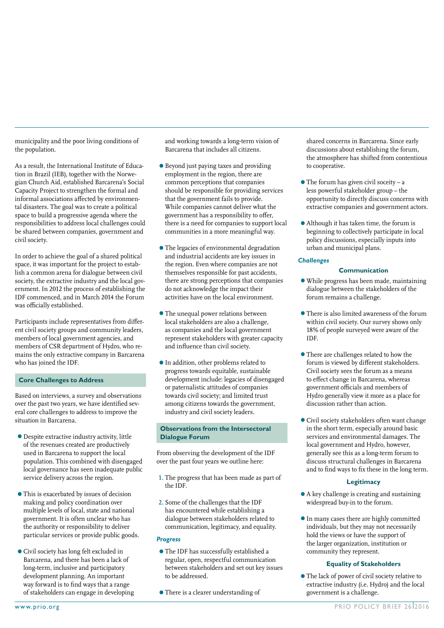municipality and the poor living conditions of the population.

As a result, the International Institute of Education in Brazil (IEB), together with the Norwegian Church Aid, established Barcarena's Social Capacity Project to strengthen the formal and informal associations affected by environmental disasters. The goal was to create a political space to build a progressive agenda where the responsibilities to address local challenges could be shared between companies, government and civil society.

In order to achieve the goal of a shared political space, it was important for the project to establish a common arena for dialogue between civil society, the extractive industry and the local government. In 2012 the process of establishing the IDF commenced, and in March 2014 the Forum was officially established.

Participants include representatives from different civil society groups and community leaders, members of local government agencies, and members of CSR department of Hydro, who remains the only extractive company in Barcarena who has joined the IDF.

#### **Core Challenges to Address**

Based on interviews, a survey and observations over the past two years, we have identified several core challenges to address to improve the situation in Barcarena.

- •Despite extractive industry activity, little of the revenues created are productively used in Barcarena to support the local population. This combined with disengaged local governance has seen inadequate public service delivery across the region.
- •This is exacerbated by issues of decision making and policy coordination over multiple levels of local, state and national government. It is often unclear who has the authority or responsibility to deliver particular services or provide public goods.
- •Civil society has long felt excluded in Barcarena, and there has been a lack of long-term, inclusive and participatory development planning. An important way forward is to find ways that a range of stakeholders can engage in developing

and working towards a long-term vision of Barcarena that includes all citizens.

- •Beyond just paying taxes and providing employment in the region, there are common perceptions that companies should be responsible for providing services that the government fails to provide. While companies cannot deliver what the government has a responsibility to offer, there is a need for companies to support local communities in a more meaningful way.
- •The legacies of environmental degradation and industrial accidents are key issues in the region. Even where companies are not themselves responsible for past accidents, there are strong perceptions that companies do not acknowledge the impact their activities have on the local environment.
- •The unequal power relations between local stakeholders are also a challenge, as companies and the local government represent stakeholders with greater capacity and influence than civil society.
- •In addition, other problems related to progress towards equitable, sustainable development include: legacies of disengaged or paternalistic attitudes of companies towards civil society; and limited trust among citizens towards the government, industry and civil society leaders.

#### **Observations from the Intersectoral Dialogue Forum**

From observing the development of the IDF over the past four years we outline here:

- **1.** The progress that has been made as part of the IDF.
- **2.** Some of the challenges that the IDF has encountered while establishing a dialogue between stakeholders related to communication, legitimacy, and equality.

#### *Progress*

- •The IDF has successfully established a regular, open, respectful communication between stakeholders and set out key issues to be addressed.
- •There is a clearer understanding of

shared concerns in Barcarena. Since early discussions about establishing the forum, the atmosphere has shifted from contentious to cooperative.

- $\bullet$  The forum has given civil soceity a less powerful stakeholder group – the opportunity to directly discuss concerns with extractive companies and government actors.
- •Although it has taken time, the forum is beginning to collectively participate in local policy discussions, especially inputs into urban and municipal plans.

#### *Challenges*

#### **Communication**

- •While progress has been made, maintaining dialogue between the stakeholders of the forum remains a challenge.
- •There is also limited awareness of the forum within civil society. Our survey shows only 18% of people surveyed were aware of the IDF.
- •There are challenges related to how the forum is viewed by different stakeholders. Civil society sees the forum as a means to effect change in Barcarena, whereas government officials and members of Hydro generally view it more as a place for discussion rather than action.
- •Civil society stakeholders often want change in the short term, especially around basic services and environmental damages. The local government and Hydro, however, generally see this as a long-term forum to discuss structural challenges in Barcarena and to find ways to fix these in the long term.

#### **Legitimacy**

- •A key challenge is creating and sustaining widespread buy-in to the forum.
- •In many cases there are highly committed individuals, but they may not necessarily hold the views or have the support of the larger organization, institution or community they represent.

#### **Equality of Stakeholders**

•The lack of power of civil society relative to extractive industry (i.e. Hydro) and the local government is a challenge.